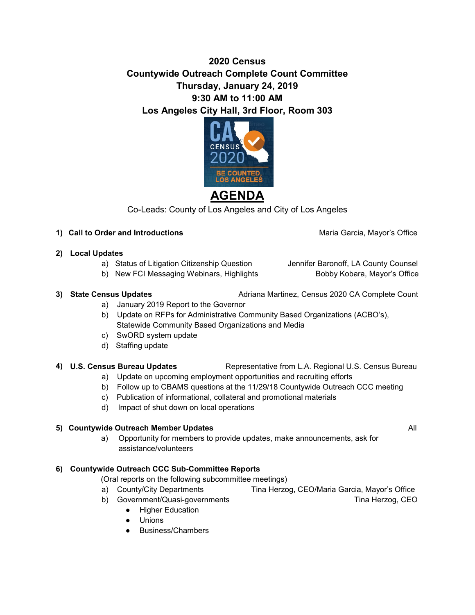## **2020 Census Countywide Outreach Complete Count Committee Thursday, January 24, 2019 9:30 AM to 11:00 AM Los Angeles City Hall, 3rd Floor, Room 303**



Co-Leads: County of Los Angeles and City of Los Angeles

### 1) **Call to Order and Introductions Maria Garcia, Mayor's Office Maria Garcia, Mayor's Office**

### **2) Local Updates**

- a) Status of Litigation Citizenship Question Jennifer Baronoff, LA County Counsel
- b) New FCI Messaging Webinars, Highlights Bobby Kobara, Mayor's Office

**3) State Census Updates <b>Adriana Martinez**, Census 2020 CA Complete Count

- a) January 2019 Report to the Governor
- b) Update on RFPs for Administrative Community Based Organizations (ACBO's), Statewide Community Based Organizations and Media
- c) SwORD system update
- d) Staffing update

# **4) U.S. Census Bureau Updates** Representative from L.A. Regional U.S. Census Bureau

- a) Update on upcoming employment opportunities and recruiting efforts
- b) Follow up to CBAMS questions at the 11/29/18 Countywide Outreach CCC meeting
- c) Publication of informational, collateral and promotional materials
- d) Impact of shut down on local operations

## **5) Countywide Outreach Member Updates <b>All All All All All All All All**

a) Opportunity for members to provide updates, make announcements, ask for assistance/volunteers

## **6) Countywide Outreach CCC Sub-Committee Reports**

(Oral reports on the following subcommittee meetings)

- a) County/City Departments Tina Herzog, CEO/Maria Garcia, Mayor's Office
- b) Government/Quasi-governments Tina Herzog, CEO
	- Higher Education
	- Unions
	- Business/Chambers

- 
-